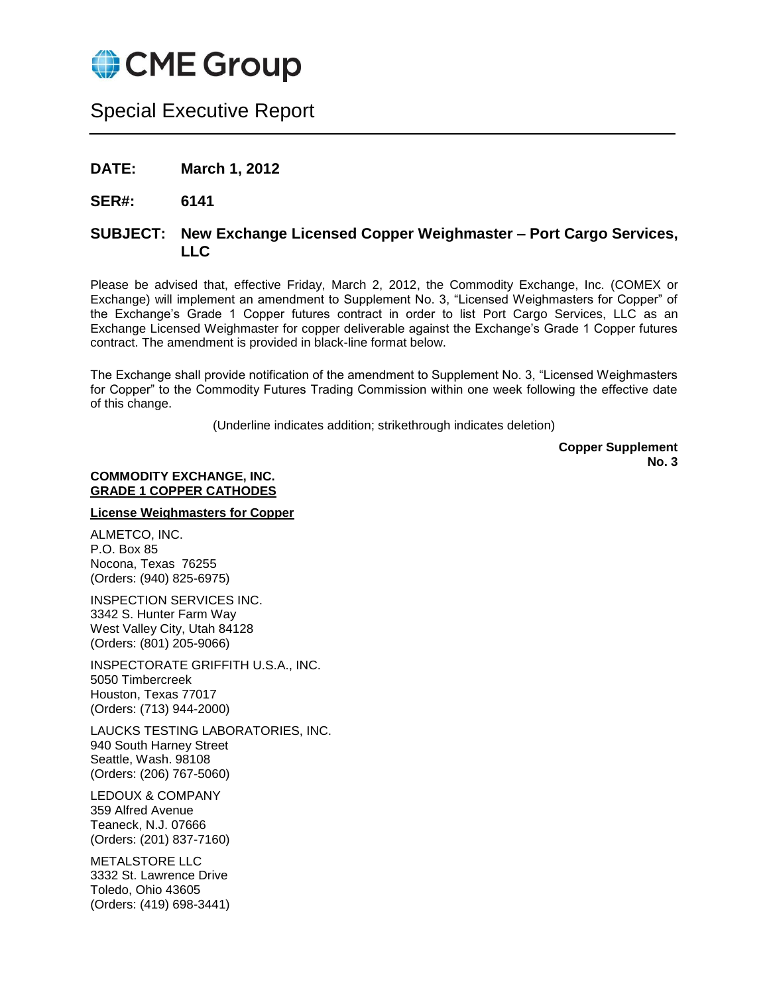

## Special Executive Report

- **DATE: March 1, 2012**
- **SER#: 6141**

## **SUBJECT: New Exchange Licensed Copper Weighmaster – Port Cargo Services, LLC**

Please be advised that, effective Friday, March 2, 2012, the Commodity Exchange, Inc. (COMEX or Exchange) will implement an amendment to Supplement No. 3, "Licensed Weighmasters for Copper" of the Exchange's Grade 1 Copper futures contract in order to list Port Cargo Services, LLC as an Exchange Licensed Weighmaster for copper deliverable against the Exchange's Grade 1 Copper futures contract. The amendment is provided in black-line format below.

The Exchange shall provide notification of the amendment to Supplement No. 3, "Licensed Weighmasters for Copper" to the Commodity Futures Trading Commission within one week following the effective date of this change.

(Underline indicates addition; strikethrough indicates deletion)

**Copper Supplement No. 3**

## **COMMODITY EXCHANGE, INC. GRADE 1 COPPER CATHODES**

**License Weighmasters for Copper**

ALMETCO, INC. P.O. Box 85 Nocona, Texas 76255 (Orders: (940) 825-6975)

INSPECTION SERVICES INC. 3342 S. Hunter Farm Way West Valley City, Utah 84128 (Orders: (801) 205-9066)

INSPECTORATE GRIFFITH U.S.A., INC. 5050 Timbercreek Houston, Texas 77017 (Orders: (713) 944-2000)

LAUCKS TESTING LABORATORIES, INC. 940 South Harney Street Seattle, Wash. 98108 (Orders: (206) 767-5060)

LEDOUX & COMPANY 359 Alfred Avenue Teaneck, N.J. 07666 (Orders: (201) 837-7160)

METALSTORE LLC 3332 St. Lawrence Drive Toledo, Ohio 43605 (Orders: (419) 698-3441)